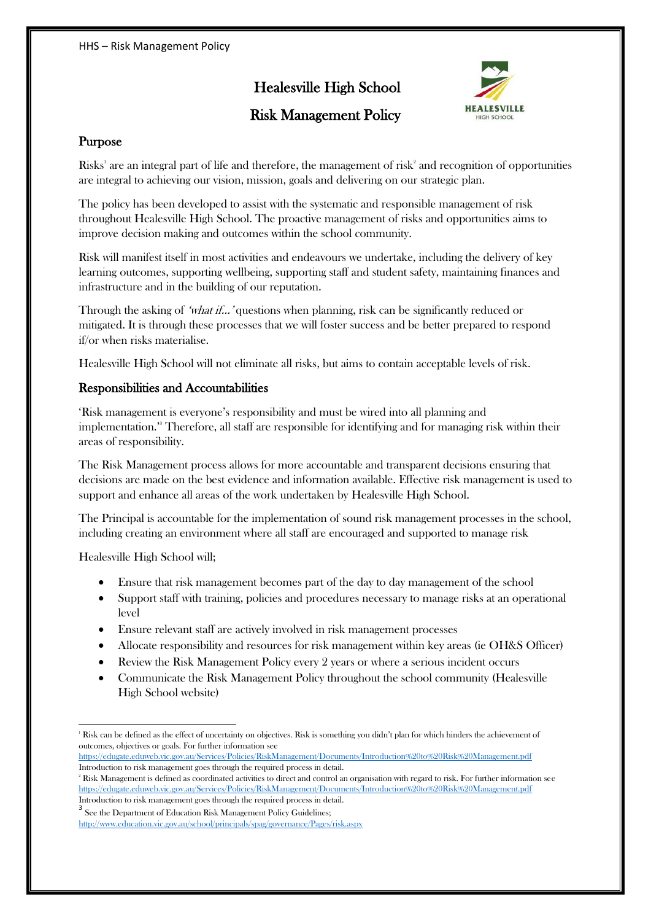# Healesville High School





## Purpose

Risks' are an integral part of life and therefore, the management of risk<sup>2</sup> and recognition of opportunities are integral to achieving our vision, mission, goals and delivering on our strategic plan.

The policy has been developed to assist with the systematic and responsible management of risk throughout Healesville High School. The proactive management of risks and opportunities aims to improve decision making and outcomes within the school community.

Risk will manifest itself in most activities and endeavours we undertake, including the delivery of key learning outcomes, supporting wellbeing, supporting staff and student safety, maintaining finances and infrastructure and in the building of our reputation.

Through the asking of 'what if...' questions when planning, risk can be significantly reduced or mitigated. It is through these processes that we will foster success and be better prepared to respond if/or when risks materialise.

Healesville High School will not eliminate all risks, but aims to contain acceptable levels of risk.

### Responsibilities and Accountabilities

'Risk management is everyone's responsibility and must be wired into all planning and implementation.'<sup>3</sup> Therefore, all staff are responsible for identifying and for managing risk within their areas of responsibility.

The Risk Management process allows for more accountable and transparent decisions ensuring that decisions are made on the best evidence and information available. Effective risk management is used to support and enhance all areas of the work undertaken by Healesville High School.

The Principal is accountable for the implementation of sound risk management processes in the school, including creating an environment where all staff are encouraged and supported to manage risk

Healesville High School will;

**.** 

- x Ensure that risk management becomes part of the day to day management of the school
- Support staff with training, policies and procedures necessary to manage risks at an operational level
- x Ensure relevant staff are actively involved in risk management processes
- Allocate responsibility and resources for risk management within key areas (ie OH&S Officer)
- x Review the Risk Management Policy every 2 years or where a serious incident occurs
- Communicate the Risk Management Policy throughout the school community (Healesville High School website)

<https://edugate.eduweb.vic.gov.au/Services/Policies/RiskManagement/Documents/Introduction%20to%20Risk%20Management.pdf> Introduction to risk management goes through the required process in detail.

 $3$  See the Department of Education Risk Management Policy Guidelines;

<sup>1</sup> Risk can be defined as the effect of uncertainty on objectives. Risk is something you didn't plan for which hinders the achievement of outcomes, objectives or goals. For further information see

 $\mathrm{^{2}}$  Risk Management is defined as coordinated activities to direct and control an organisation with regard to risk. For further information see <https://edugate.eduweb.vic.gov.au/Services/Policies/RiskManagement/Documents/Introduction%20to%20Risk%20Management.pdf> Introduction to risk management goes through the required process in detail.

<http://www.education.vic.gov.au/school/principals/spag/governance/Pages/risk.aspx>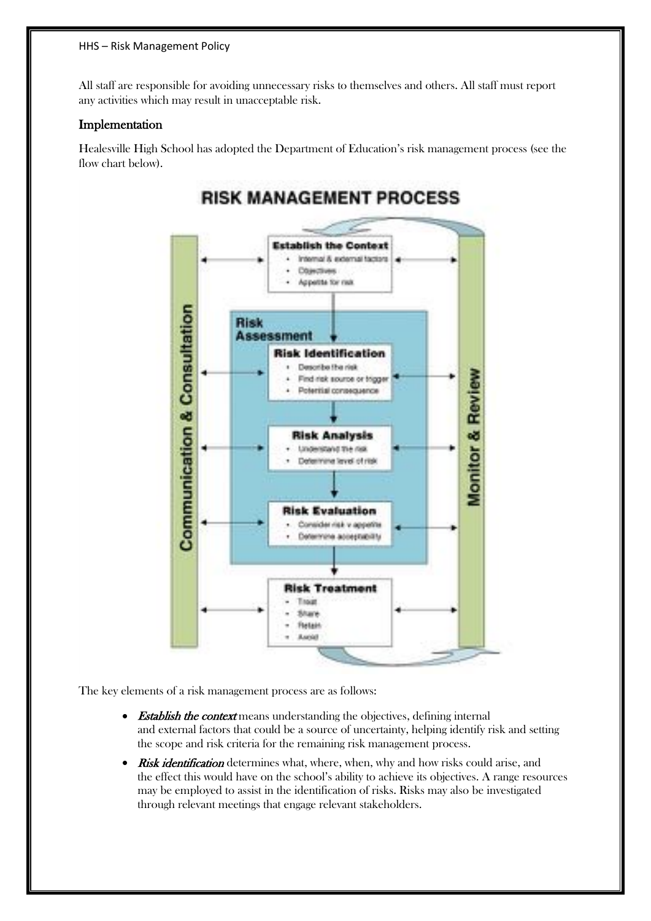#### HHS – Risk Management Policy

All staff are responsible for avoiding unnecessary risks to themselves and others. All staff must report any activities which may result in unacceptable risk.

### Implementation

Healesville High School has adopted the Department of Education's risk management process (see the flow chart below).



The key elements of a risk management process are as follows:

- Establish the context means understanding the objectives, defining internal and external factors that could be a source of uncertainty, helping identify risk and setting the scope and risk criteria for the remaining risk management process.
- Risk identification determines what, where, when, why and how risks could arise, and the effect this would have on the school's ability to achieve its objectives. A range resources may be employed to assist in the identification of risks. Risks may also be investigated through relevant meetings that engage relevant stakeholders.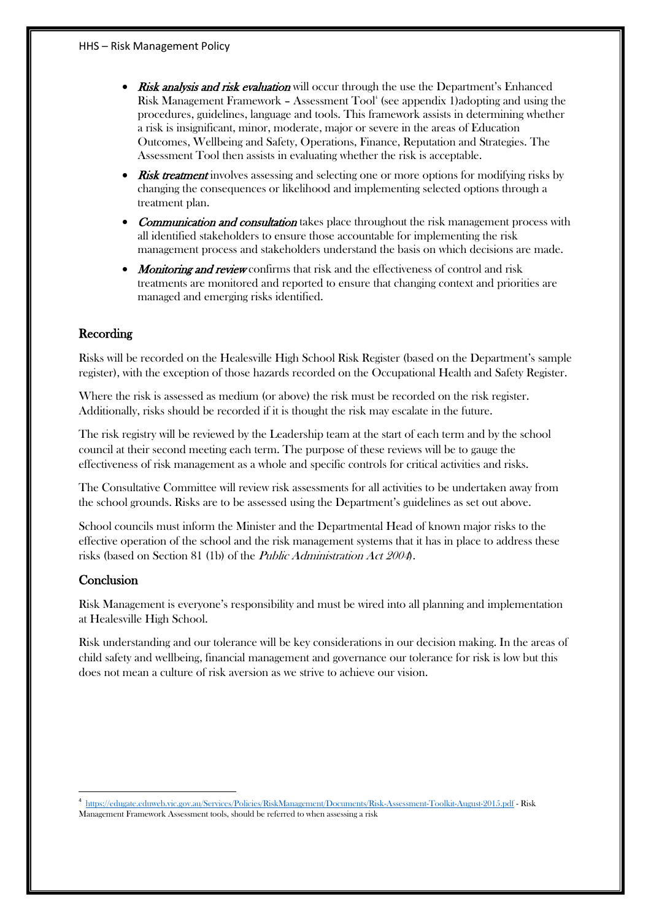- Risk analysis and risk evaluation will occur through the use the Department's Enhanced Risk Management Framework - Assessment Tool<sup>4</sup> (see appendix 1)adopting and using the procedures, guidelines, language and tools. This framework assists in determining whether a risk is insignificant, minor, moderate, major or severe in the areas of Education Outcomes, Wellbeing and Safety, Operations, Finance, Reputation and Strategies. The Assessment Tool then assists in evaluating whether the risk is acceptable.
- Risk treatment involves assessing and selecting one or more options for modifying risks by changing the consequences or likelihood and implementing selected options through a treatment plan.
- Communication and consultation takes place throughout the risk management process with all identified stakeholders to ensure those accountable for implementing the risk management process and stakeholders understand the basis on which decisions are made.
- Monitoring and review confirms that risk and the effectiveness of control and risk treatments are monitored and reported to ensure that changing context and priorities are managed and emerging risks identified.

## Recording

Risks will be recorded on the Healesville High School Risk Register (based on the Department's sample register), with the exception of those hazards recorded on the Occupational Health and Safety Register.

Where the risk is assessed as medium (or above) the risk must be recorded on the risk register. Additionally, risks should be recorded if it is thought the risk may escalate in the future.

The risk registry will be reviewed by the Leadership team at the start of each term and by the school council at their second meeting each term. The purpose of these reviews will be to gauge the effectiveness of risk management as a whole and specific controls for critical activities and risks.

The Consultative Committee will review risk assessments for all activities to be undertaken away from the school grounds. Risks are to be assessed using the Department's guidelines as set out above.

School councils must inform the Minister and the Departmental Head of known major risks to the effective operation of the school and the risk management systems that it has in place to address these risks (based on Section 81 (1b) of the Public Administration Act 2004).

#### **Conclusion**

Risk Management is everyone's responsibility and must be wired into all planning and implementation at Healesville High School.

Risk understanding and our tolerance will be key considerations in our decision making. In the areas of child safety and wellbeing, financial management and governance our tolerance for risk is low but this does not mean a culture of risk aversion as we strive to achieve our vision.

 <sup>4</sup> <https://edugate.eduweb.vic.gov.au/Services/Policies/RiskManagement/Documents/Risk-Assessment-Toolkit-August-2015.pdf> - Risk Management Framework Assessment tools, should be referred to when assessing a risk